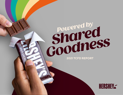# *Powered by*<br>**Powered by**  *Shared*  **2021 TCFD REPORT**

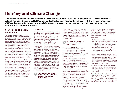# Hershey and Climate Change

**This report, published in 2022, represents Hershey's second time reporting against the [Task Force on Climate](http://fsb-tcfd.org)[related Financial Disclosures](http://fsb-tcfd.org) (TCFD), and stands alongside our science-based targets (SBTs) for greenhouse gas (GHG) emissions reduction as the materialization of our strengthened approach to addressing climate change within and through our business.**

# **Strategic and Financial Implications**

As a company that depends on agricultural commodities grown all over the world, we are acutely aware of the risks climate change, natural resource scarcity and extreme weather pose to our business. Specifically, climate change and deforestation often negatively impact the world's most vulnerable first, making these important environmental issues human rights issues as well. We engage regularly with our investors, customers, suppliers and other stakeholders on the increasing impacts of climate change and the role Hershey can play in mitigating and managing our impact, while also ensuring the stability and sustainability of our own business. As a result, we have committed to expanding and improving our response with transparency and accountability.

Hershey is currently undertaking a climate-related risk and opportunities assessment in partnership with The Climate Service (TCS) and Quantis. The results will help us to better identify, evaluate and quantitatively measure, in financial terms, the potential physical and transitional impacts, risks and opportunities relating to climate change. This process will help inform Hershey's strategies to mitigate the impact of climate-related risks and maximize the realization of climate-related opportunities. We anticipate including results from this analysis in next year's TCFD report.

#### **Governance**

Managing environmental, social and governance (ESG) factors and operating with integrity are key drivers for how we build trust with our consumers and make a positive impact in our society. Our ESG governance model includes a multi-level operating structure to ensure we are aligned on the most important issues facing the company and allocating the right resources to drive progress within our Shared Goodness Promise.

In 2021, to better reflect our focus on corporate responsibility and sustainability at the Board level, our Corporate Governance Guidelines were updated to clarify our Board's role in overseeing all ESG matters, including our ESG strategies, progress, risks and opportunities. In addition, our Governance Committee's charter was expanded to include oversight of the Board's governance of our ESG policies and programs and related reporting. All of our other Board committee charters were expanded to include oversight of each committee's relevant ESG responsibilities and reporting. Accountability for managing ESG and sustainability at a management level resides with our Vice President of Global Sustainability and Corporate Communications, who reports to our Chief Supply Chain Officer.

**For more information, see our [2021 ESG Report,](https://www.thehersheycompany.com/libs/granite/core/content/login.html?resource=%2Fcontent%2Fdam%2Fhershey-corporate%2Fdocuments%2Fpdf%2Fhershey_2021_esg_report.pdf&$$login$$=%24%24login%24%24&j_reason=unknown&j_reason_code=unknown) our [2022 Proxy](https://hershey.gcs-web.com/static-files/c79526d5-4fb5-4775-b666-3ae7e2f60392)  [Statement](https://hershey.gcs-web.com/static-files/c79526d5-4fb5-4775-b666-3ae7e2f60392), and Hershey's [2021 Form 10-K.](https://hershey.gcs-web.com/static-files/6009bd76-f82f-4f6c-a58a-6d926bf742eb)** 

Underpinning Hershey's climate efforts is a holistic sustainability strategy that guides how we support and engage the remarkable people behind our brands, from farmers to employees, and deliver on our commitments to safeguard the health of the environment and support children and youth.



#### **Environment section of the [2021 ESG Report](https://www.thehersheycompany.com/libs/granite/core/content/login.html?resource=%2Fcontent%2Fdam%2Fhershey-corporate%2Fdocuments%2Fpdf%2Fhershey_2021_esg_report.pdf&$$login$$=%24%24login%24%24&j_reason=unknown&j_reason_code=unknown).**

#### **Strategy and Risk Management**

Hershey evaluates climate risk in two ways: as part of our Enterprise Risk Management (ERM) program, which is overseen by Hershey's Board, and as part of our broader enterprise sustainability efforts.

Through our ERM program, climate change was identified as a risk to be managed through external benchmarking and engagement with partners across our value chain. All proposed ERM risks are presented to our Chief Financial Officer and General Counsel, who affirmed their inclusion in our ERM program.

Our Global Sustainability team is currently developing formal climate scenario planning as part of ongoing operational sustainability work, with the aim of reducing Hershey's direct and indirect impacts on climate change. A comprehensive management approach to climate change risks and impacts is embedded across the enterprise through our SBTs, which focuses on reducing our GHG footprint. We have also incorporated climate considerations into our capital allocation process to ensure capital expenditures align with our enterprise climate strategy.

Additionally, we are continuously expanding the functional areas that incorporate climate risk management as part of their responsibilities and are embedding climate considerations into enterprise decision-making.

#### For example:

- Our Procurement and Responsible Sourcing teams manage climate risks related to sourcing our key ingredients and materials. In our sugar, dairy and cocoa supply chains, we have instituted partnerships with our suppliers and community partners to help growing communities adopt climate-smart growing practices and access opportunities to improve on-farm climate impacts.
- We are working to proactively mitigate risks through programs and initiatives to reduce our direct carbon emissions—including our efforts to procure more energy from renewable and zero-emissions energy sources and through our energy program, which seeks to improve on-site energy efficiency and conserve water.
- Our Logistics team works with our Continuous Improvements team to identify opportunities to save costs and fuel and reduce the risks from rising energy prices related to transporting our products.

Enterprise collaboration on climate considerations has aided the identification of several climaterelated risks and opportunities as potentially financially material (as detailed in the table on the next page). We are currently undertaking climate scenario planning to quantify these impacts.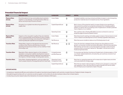### Potential Financial Impact

| <b>RISK</b>                        | <b>DESCRIPTION</b>                                                                                                                                                                                                                      | <b>CATEGORY</b>                                    | <b>IMPACT</b> | <b>DETAIL</b>                                                                                                                                                                                                                                                                                                                                 |
|------------------------------------|-----------------------------------------------------------------------------------------------------------------------------------------------------------------------------------------------------------------------------------------|----------------------------------------------------|---------------|-----------------------------------------------------------------------------------------------------------------------------------------------------------------------------------------------------------------------------------------------------------------------------------------------------------------------------------------------|
| <b>Physical Risks</b><br>(Acute)   | Price fluctuations for key commodities due to extreme<br>weather or crop diseases, including the direct effect as<br>well as via the pricing of futures contracts                                                                       | Cost of Sales                                      |               | Increased volatility in pricing contracts and likely increase in costs of acquiring<br>production materials due to increased scarcity of raw ingredients                                                                                                                                                                                      |
| <b>Physical Risks</b><br>(Acute)   | Disruption to our global manufacturing operations or<br>supply chain                                                                                                                                                                    | <b>Capital Expenditures</b>                        |               | Both in terms of the potential need to increase infrastructure spending on<br>improvements to protect our properties and assets from changing weather<br>patterns, as well as risks of increasing costs of capital due to climate's potential<br>macro impacts on our creditors                                                               |
|                                    |                                                                                                                                                                                                                                         | <b>Operating Costs</b>                             |               | We could face risks in finding affordable insurance contracts to cover our<br>properties against extreme weather events                                                                                                                                                                                                                       |
| <b>Physical Risks</b><br>(Chronic) | Impacts on the crop yield or quality of key raw materials,<br>which could potentially cause Hershey to have increases<br>in raw material and energy costs along with challenges in<br>obtaining adequate ingredients and supplies       | Cost of Sales                                      |               | Risks that prices for existing commodity supply increase or that we have to invest<br>more in research and development to find or develop ingredient alternatives                                                                                                                                                                             |
|                                    |                                                                                                                                                                                                                                         | <b>Net Revenue</b>                                 | ш.            | Risks that we are not able to make as much finished product to sell                                                                                                                                                                                                                                                                           |
| <b>Transition Risks</b>            | Market Risks: impacts on the general macroeconomic<br>conditions that influence discretionary consumer<br>spending and impulse purchases, such as volatility in food<br>and energy costs                                                | <b>Net Revenue</b>                                 | $\bullet$ J.  | Given the risks that unabated climate change may slow global economic<br>growth, our business could be harmed by decreases in discretionary spending.<br>Alternatively, we have seen our business perform strongly in past economic<br>recessions due to consumers' desires for "affordable" luxuries and comfort<br>foods during those times |
| <b>Transition Risks</b>            | Reputation Risks: adverse impacts on the company's<br>reputation or long-term viability resulting from issues or<br>incidents relating to Hershey's approach and response to<br>the impacts of climate change, including water scarcity | Competitiveness<br>and Net Revenue                 |               | If consumers see Hershey's business as threatening to climate progress, or find<br>our climate-related statements untrustworthy, we could lose consumer trust<br>or face boycotts                                                                                                                                                             |
| <b>Transition Risks</b>            | Policy Risks: changing regulations, such as a carbon tax<br>that increases the price of energy derived from fossil fuels                                                                                                                | <b>Operating Costs/</b><br><b>Compliance Costs</b> |               | Risks that our operating expenses will increase due to higher taxes and other<br>costs associated with energy usage                                                                                                                                                                                                                           |
|                                    |                                                                                                                                                                                                                                         | <b>Capital Expenditures</b>                        |               | Risks that we need to make emergency infrastructure changes to comply with<br>new regulations. Also, risks that we do not get to benefit from the full useful<br>lives of infrastructure investments made in the past                                                                                                                         |

#### **OPPORTUNITIES**

• Increasing our operational efficiency and resilience throughout manufacturing and logistics with a priority on assets that are of highest climate-change risk.

• Strengthening partnerships with our customers as well as supplier communities who are also looking to reduce their climate impacts.

• Conducting consumer research about the intersection of consumer interests in ESG topics.